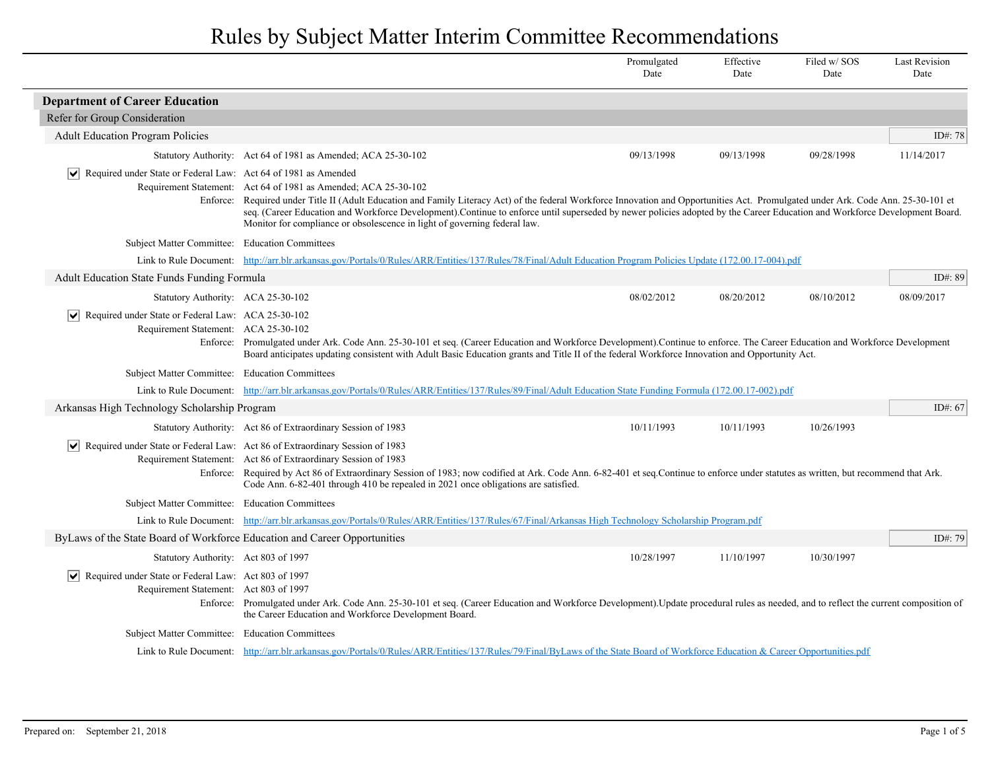|                                                                                                        |                                                                                                                                                                                                                                                                                                                                                                                                                                                                                                                  | Promulgated<br>Date | Effective<br>Date | Filed w/SOS<br>Date | <b>Last Revision</b><br>Date |
|--------------------------------------------------------------------------------------------------------|------------------------------------------------------------------------------------------------------------------------------------------------------------------------------------------------------------------------------------------------------------------------------------------------------------------------------------------------------------------------------------------------------------------------------------------------------------------------------------------------------------------|---------------------|-------------------|---------------------|------------------------------|
| <b>Department of Career Education</b>                                                                  |                                                                                                                                                                                                                                                                                                                                                                                                                                                                                                                  |                     |                   |                     |                              |
| Refer for Group Consideration                                                                          |                                                                                                                                                                                                                                                                                                                                                                                                                                                                                                                  |                     |                   |                     |                              |
| <b>Adult Education Program Policies</b>                                                                |                                                                                                                                                                                                                                                                                                                                                                                                                                                                                                                  |                     |                   |                     | ID#: 78                      |
|                                                                                                        | Statutory Authority: Act 64 of 1981 as Amended; ACA 25-30-102                                                                                                                                                                                                                                                                                                                                                                                                                                                    | 09/13/1998          | 09/13/1998        | 09/28/1998          | 11/14/2017                   |
| $ \mathbf{v} $ Required under State or Federal Law: Act 64 of 1981 as Amended                          | Requirement Statement: Act 64 of 1981 as Amended; ACA 25-30-102<br>Enforce: Required under Title II (Adult Education and Family Literacy Act) of the federal Workforce Innovation and Opportunities Act. Promulgated under Ark. Code Ann. 25-30-101 et<br>seq. (Career Education and Workforce Development).Continue to enforce until superseded by newer policies adopted by the Career Education and Workforce Development Board.<br>Monitor for compliance or obsolescence in light of governing federal law. |                     |                   |                     |                              |
| Subject Matter Committee: Education Committees                                                         |                                                                                                                                                                                                                                                                                                                                                                                                                                                                                                                  |                     |                   |                     |                              |
|                                                                                                        | Link to Rule Document: http://arr.blr.arkansas.gov/Portals/0/Rules/ARR/Entities/137/Rules/78/Final/Adult Education Program Policies Update (172.00.17-004).pdf                                                                                                                                                                                                                                                                                                                                                   |                     |                   |                     |                              |
| <b>Adult Education State Funds Funding Formula</b>                                                     |                                                                                                                                                                                                                                                                                                                                                                                                                                                                                                                  |                     |                   |                     | ID#: 89                      |
| Statutory Authority: ACA 25-30-102                                                                     |                                                                                                                                                                                                                                                                                                                                                                                                                                                                                                                  | 08/02/2012          | 08/20/2012        | 08/10/2012          | 08/09/2017                   |
| $ \vec{v} $ Required under State or Federal Law: ACA 25-30-102<br>Requirement Statement: ACA 25-30-102 | Enforce: Promulgated under Ark. Code Ann. 25-30-101 et seq. (Career Education and Workforce Development).Continue to enforce. The Career Education and Workforce Development<br>Board anticipates updating consistent with Adult Basic Education grants and Title II of the federal Workforce Innovation and Opportunity Act.                                                                                                                                                                                    |                     |                   |                     |                              |
| Subject Matter Committee: Education Committees                                                         |                                                                                                                                                                                                                                                                                                                                                                                                                                                                                                                  |                     |                   |                     |                              |
|                                                                                                        | Link to Rule Document: http://arr.blr.arkansas.gov/Portals/0/Rules/ARR/Entities/137/Rules/89/Final/Adult Education State Funding Formula (172.00.17-002).pdf                                                                                                                                                                                                                                                                                                                                                     |                     |                   |                     |                              |
| Arkansas High Technology Scholarship Program                                                           |                                                                                                                                                                                                                                                                                                                                                                                                                                                                                                                  |                     |                   |                     | ID#: $67$                    |
|                                                                                                        | Statutory Authority: Act 86 of Extraordinary Session of 1983                                                                                                                                                                                                                                                                                                                                                                                                                                                     | 10/11/1993          | 10/11/1993        | 10/26/1993          |                              |
| Required under State or Federal Law: Act 86 of Extraordinary Session of 1983                           | Requirement Statement: Act 86 of Extraordinary Session of 1983<br>Enforce: Required by Act 86 of Extraordinary Session of 1983; now codified at Ark. Code Ann. 6-82-401 et seq. Continue to enforce under statutes as written, but recommend that Ark.<br>Code Ann. 6-82-401 through 410 be repealed in 2021 once obligations are satisfied.                                                                                                                                                                     |                     |                   |                     |                              |
| Subject Matter Committee: Education Committees                                                         |                                                                                                                                                                                                                                                                                                                                                                                                                                                                                                                  |                     |                   |                     |                              |
|                                                                                                        | Link to Rule Document: http://arr.blr.arkansas.gov/Portals/0/Rules/ARR/Entities/137/Rules/67/Final/Arkansas High Technology Scholarship Program.pdf                                                                                                                                                                                                                                                                                                                                                              |                     |                   |                     |                              |
| ByLaws of the State Board of Workforce Education and Career Opportunities                              |                                                                                                                                                                                                                                                                                                                                                                                                                                                                                                                  |                     |                   |                     | ID#: 79                      |
| Statutory Authority: Act 803 of 1997                                                                   |                                                                                                                                                                                                                                                                                                                                                                                                                                                                                                                  | 10/28/1997          | 11/10/1997        | 10/30/1997          |                              |
| Required under State or Federal Law: Act 803 of 1997<br>Requirement Statement: Act 803 of 1997         | Enforce: Promulgated under Ark. Code Ann. 25-30-101 et seq. (Career Education and Workforce Development). Update procedural rules as needed, and to reflect the current composition of<br>the Career Education and Workforce Development Board.                                                                                                                                                                                                                                                                  |                     |                   |                     |                              |
| Subject Matter Committee: Education Committees                                                         |                                                                                                                                                                                                                                                                                                                                                                                                                                                                                                                  |                     |                   |                     |                              |
|                                                                                                        | Link to Rule Document: http://arr.blr.arkansas.gov/Portals/0/Rules/ARR/Entities/137/Rules/79/Final/ByLaws of the State Board of Workforce Education & Career Opportunities.pdf                                                                                                                                                                                                                                                                                                                                   |                     |                   |                     |                              |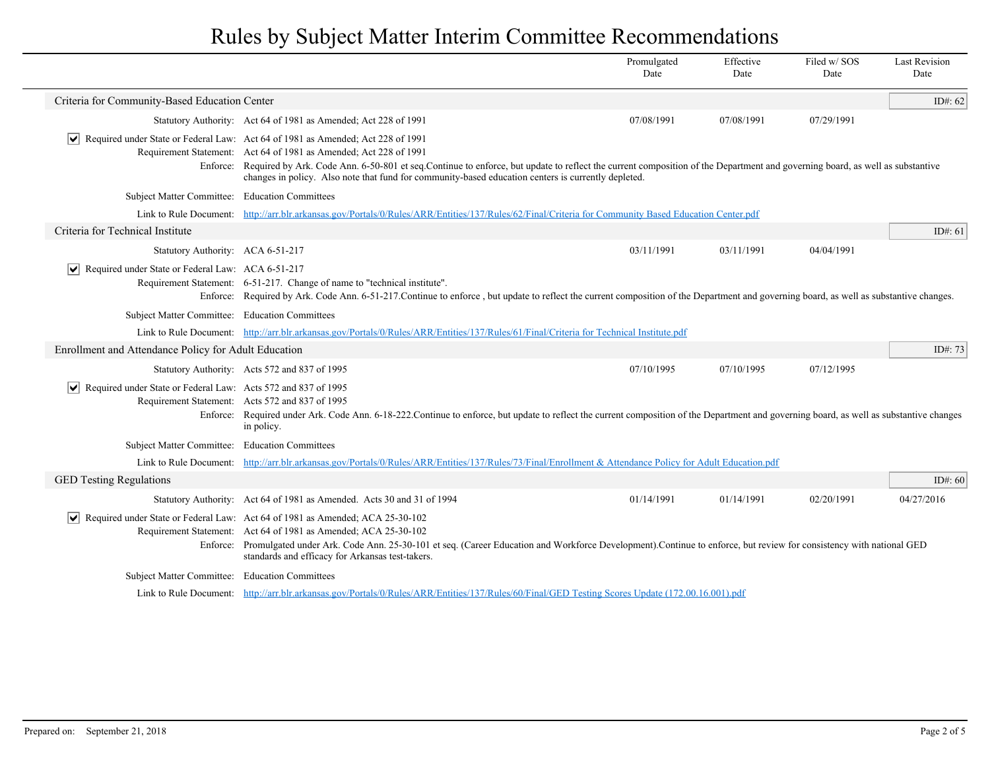|                                                                              |                                                                                                                                                                                                                                                                                                                                                                                                                                                                              | Promulgated<br>Date | Effective<br>Date | Filed w/SOS<br>Date | <b>Last Revision</b><br>Date |
|------------------------------------------------------------------------------|------------------------------------------------------------------------------------------------------------------------------------------------------------------------------------------------------------------------------------------------------------------------------------------------------------------------------------------------------------------------------------------------------------------------------------------------------------------------------|---------------------|-------------------|---------------------|------------------------------|
| Criteria for Community-Based Education Center                                |                                                                                                                                                                                                                                                                                                                                                                                                                                                                              |                     |                   |                     | ID#: $62$                    |
|                                                                              | Statutory Authority: Act 64 of 1981 as Amended; Act 228 of 1991                                                                                                                                                                                                                                                                                                                                                                                                              | 07/08/1991          | 07/08/1991        | 07/29/1991          |                              |
|                                                                              | $\vert \mathbf{v} \vert$ Required under State or Federal Law: Act 64 of 1981 as Amended; Act 228 of 1991<br>Requirement Statement: Act 64 of 1981 as Amended; Act 228 of 1991<br>Enforce: Required by Ark. Code Ann. 6-50-801 et seq.Continue to enforce, but update to reflect the current composition of the Department and governing board, as well as substantive<br>changes in policy. Also note that fund for community-based education centers is currently depleted. |                     |                   |                     |                              |
| Subject Matter Committee: Education Committees                               |                                                                                                                                                                                                                                                                                                                                                                                                                                                                              |                     |                   |                     |                              |
|                                                                              | Link to Rule Document: http://arr.blr.arkansas.gov/Portals/0/Rules/ARR/Entities/137/Rules/62/Final/Criteria for Community Based Education Center.pdf                                                                                                                                                                                                                                                                                                                         |                     |                   |                     |                              |
| Criteria for Technical Institute                                             |                                                                                                                                                                                                                                                                                                                                                                                                                                                                              |                     |                   |                     | ID#: $61$                    |
| Statutory Authority: ACA 6-51-217                                            |                                                                                                                                                                                                                                                                                                                                                                                                                                                                              | 03/11/1991          | 03/11/1991        | 04/04/1991          |                              |
| $ \mathbf{v} $ Required under State or Federal Law: ACA 6-51-217             | Requirement Statement: 6-51-217. Change of name to "technical institute".<br>Enforce: Required by Ark. Code Ann. 6-51-217. Continue to enforce, but update to reflect the current composition of the Department and governing board, as well as substantive changes.                                                                                                                                                                                                         |                     |                   |                     |                              |
| Subject Matter Committee: Education Committees                               |                                                                                                                                                                                                                                                                                                                                                                                                                                                                              |                     |                   |                     |                              |
|                                                                              | Link to Rule Document: http://arr.blr.arkansas.gov/Portals/0/Rules/ARR/Entities/137/Rules/61/Final/Criteria for Technical Institute.pdf                                                                                                                                                                                                                                                                                                                                      |                     |                   |                     |                              |
| Enrollment and Attendance Policy for Adult Education                         |                                                                                                                                                                                                                                                                                                                                                                                                                                                                              |                     |                   |                     | ID#: 73                      |
|                                                                              | Statutory Authority: Acts 572 and 837 of 1995                                                                                                                                                                                                                                                                                                                                                                                                                                | 07/10/1995          | 07/10/1995        | 07/12/1995          |                              |
| $ \mathbf{v} $ Required under State or Federal Law: Acts 572 and 837 of 1995 | Requirement Statement: Acts 572 and 837 of 1995<br>Enforce: Required under Ark. Code Ann. 6-18-222. Continue to enforce, but update to reflect the current composition of the Department and governing board, as well as substantive changes<br>in policy.                                                                                                                                                                                                                   |                     |                   |                     |                              |
| Subject Matter Committee: Education Committees                               |                                                                                                                                                                                                                                                                                                                                                                                                                                                                              |                     |                   |                     |                              |
|                                                                              | Link to Rule Document: http://arr.blr.arkansas.gov/Portals/0/Rules/ARR/Entities/137/Rules/73/Final/Enrollment & Attendance Policy for Adult Education.pdf                                                                                                                                                                                                                                                                                                                    |                     |                   |                     |                              |
| <b>GED Testing Regulations</b>                                               |                                                                                                                                                                                                                                                                                                                                                                                                                                                                              |                     |                   |                     | ID#: $60$                    |
|                                                                              | Statutory Authority: Act 64 of 1981 as Amended. Acts 30 and 31 of 1994                                                                                                                                                                                                                                                                                                                                                                                                       | 01/14/1991          | 01/14/1991        | 02/20/1991          | 04/27/2016                   |
|                                                                              | $\vert \blacktriangleright \vert$ Required under State or Federal Law: Act 64 of 1981 as Amended; ACA 25-30-102<br>Requirement Statement: Act 64 of 1981 as Amended; ACA 25-30-102<br>Enforce: Promulgated under Ark. Code Ann. 25-30-101 et seq. (Career Education and Workforce Development).Continue to enforce, but review for consistency with national GED<br>standards and efficacy for Arkansas test-takers.                                                         |                     |                   |                     |                              |
| Subject Matter Committee: Education Committees                               |                                                                                                                                                                                                                                                                                                                                                                                                                                                                              |                     |                   |                     |                              |
|                                                                              | Link to Rule Document: http://arr.blr.arkansas.gov/Portals/0/Rules/ARR/Entities/137/Rules/60/Final/GED Testing Scores Update (172.00.16.001).pdf                                                                                                                                                                                                                                                                                                                             |                     |                   |                     |                              |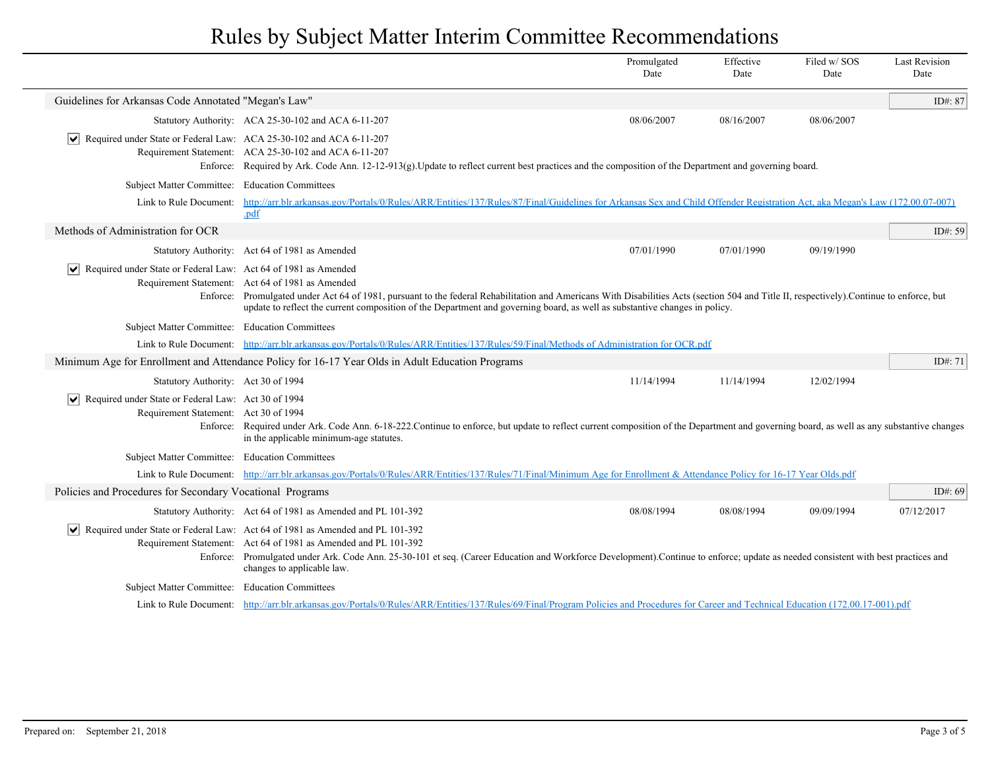|                                                                                                                   |                                                                                                                                                                                                                                                                                                                                                                             | Promulgated<br>Date | Effective<br>Date | Filed w/SOS<br>Date | <b>Last Revision</b><br>Date |
|-------------------------------------------------------------------------------------------------------------------|-----------------------------------------------------------------------------------------------------------------------------------------------------------------------------------------------------------------------------------------------------------------------------------------------------------------------------------------------------------------------------|---------------------|-------------------|---------------------|------------------------------|
| Guidelines for Arkansas Code Annotated "Megan's Law"                                                              |                                                                                                                                                                                                                                                                                                                                                                             |                     |                   |                     | ID#: 87                      |
|                                                                                                                   | Statutory Authority: ACA 25-30-102 and ACA 6-11-207                                                                                                                                                                                                                                                                                                                         | 08/06/2007          | 08/16/2007        | 08/06/2007          |                              |
| Required under State or Federal Law: ACA 25-30-102 and ACA 6-11-207<br>$\vert\bm{\mathsf{v}}\vert$                | Requirement Statement: ACA 25-30-102 and ACA 6-11-207<br>Enforce: Required by Ark. Code Ann. 12-12-913(g). Update to reflect current best practices and the composition of the Department and governing board.                                                                                                                                                              |                     |                   |                     |                              |
| Subject Matter Committee: Education Committees                                                                    |                                                                                                                                                                                                                                                                                                                                                                             |                     |                   |                     |                              |
|                                                                                                                   | Link to Rule Document: http://arr.blr.arkansas.gov/Portals/0/Rules/ARR/Entities/137/Rules/87/Final/Guidelines for Arkansas Sex and Child Offender Registration Act, aka Megan's Law (172.00.07-007)<br>.pdf                                                                                                                                                                 |                     |                   |                     |                              |
| Methods of Administration for OCR                                                                                 |                                                                                                                                                                                                                                                                                                                                                                             |                     |                   |                     | ID#: $59$                    |
|                                                                                                                   | Statutory Authority: Act 64 of 1981 as Amended                                                                                                                                                                                                                                                                                                                              | 07/01/1990          | 07/01/1990        | 09/19/1990          |                              |
| Required under State or Federal Law: Act 64 of 1981 as Amended<br>M                                               | Requirement Statement: Act 64 of 1981 as Amended<br>Enforce: Promulgated under Act 64 of 1981, pursuant to the federal Rehabilitation and Americans With Disabilities Acts (section 504 and Title II, respectively). Continue to enforce, but<br>update to reflect the current composition of the Department and governing board, as well as substantive changes in policy. |                     |                   |                     |                              |
| Subject Matter Committee: Education Committees                                                                    |                                                                                                                                                                                                                                                                                                                                                                             |                     |                   |                     |                              |
|                                                                                                                   | Link to Rule Document: http://arr.blr.arkansas.gov/Portals/0/Rules/ARR/Entities/137/Rules/59/Final/Methods of Administration for OCR.pdf                                                                                                                                                                                                                                    |                     |                   |                     |                              |
|                                                                                                                   | Minimum Age for Enrollment and Attendance Policy for 16-17 Year Olds in Adult Education Programs                                                                                                                                                                                                                                                                            |                     |                   |                     | ID#: $71$                    |
| Statutory Authority: Act 30 of 1994                                                                               |                                                                                                                                                                                                                                                                                                                                                                             | 11/14/1994          | 11/14/1994        | 12/02/1994          |                              |
| $\sqrt{\phantom{a}}$ Required under State or Federal Law: Act 30 of 1994<br>Requirement Statement: Act 30 of 1994 | Enforce: Required under Ark. Code Ann. 6-18-222. Continue to enforce, but update to reflect current composition of the Department and governing board, as well as any substantive changes<br>in the applicable minimum-age statutes.                                                                                                                                        |                     |                   |                     |                              |
| Subject Matter Committee: Education Committees                                                                    |                                                                                                                                                                                                                                                                                                                                                                             |                     |                   |                     |                              |
|                                                                                                                   | Link to Rule Document: http://arr.blr.arkansas.gov/Portals/0/Rules/ARR/Entities/137/Rules/71/Final/Minimum Age for Enrollment & Attendance Policy for 16-17 Year Olds.pdf                                                                                                                                                                                                   |                     |                   |                     |                              |
| Policies and Procedures for Secondary Vocational Programs                                                         |                                                                                                                                                                                                                                                                                                                                                                             |                     |                   |                     | ID#: $69$                    |
|                                                                                                                   | Statutory Authority: Act 64 of 1981 as Amended and PL 101-392                                                                                                                                                                                                                                                                                                               | 08/08/1994          | 08/08/1994        | 09/09/1994          | 07/12/2017                   |
|                                                                                                                   | Required under State or Federal Law: Act 64 of 1981 as Amended and PL 101-392<br>Requirement Statement: Act 64 of 1981 as Amended and PL 101-392<br>Enforce: Promulgated under Ark. Code Ann. 25-30-101 et seq. (Career Education and Workforce Development). Continue to enforce; update as needed consistent with best practices and<br>changes to applicable law.        |                     |                   |                     |                              |
| Subject Matter Committee: Education Committees                                                                    |                                                                                                                                                                                                                                                                                                                                                                             |                     |                   |                     |                              |
|                                                                                                                   | Link to Rule Document: http://arr.blr.arkansas.gov/Portals/0/Rules/ARR/Entities/137/Rules/69/Final/Program Policies and Procedures for Career and Technical Education (172.00.17-001).pdf                                                                                                                                                                                   |                     |                   |                     |                              |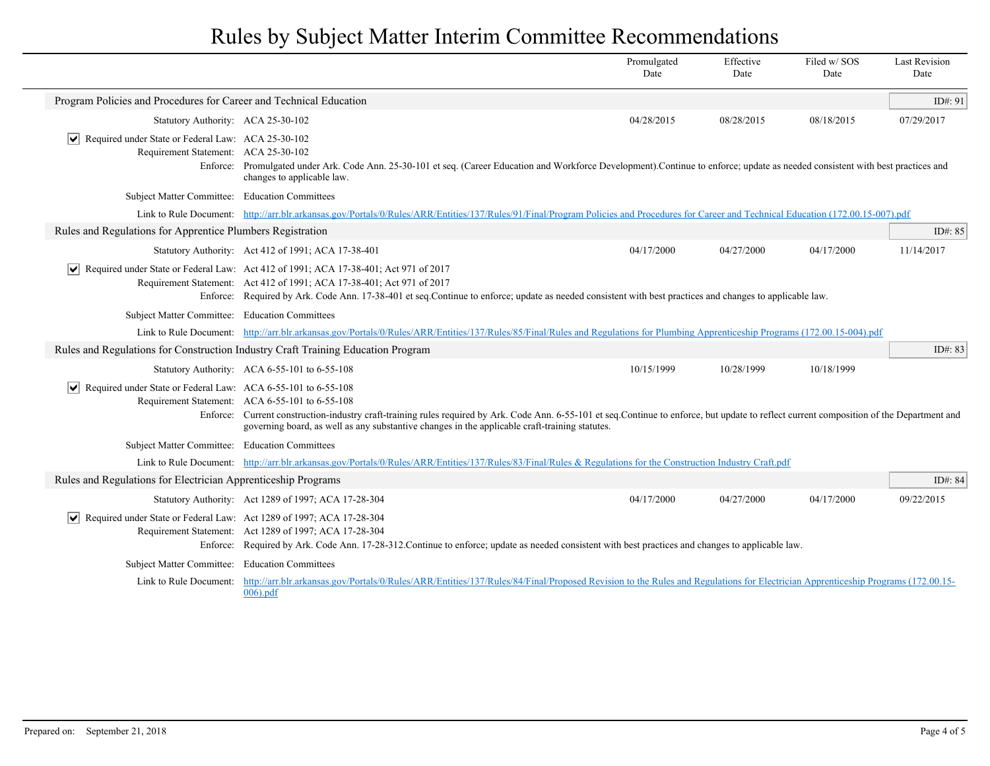|                                                                                                                   |                                                                                                                                                                                                                                                                                                                                                   | Promulgated<br>Date | Effective<br>Date | Filed w/SOS<br>Date | <b>Last Revision</b><br>Date |
|-------------------------------------------------------------------------------------------------------------------|---------------------------------------------------------------------------------------------------------------------------------------------------------------------------------------------------------------------------------------------------------------------------------------------------------------------------------------------------|---------------------|-------------------|---------------------|------------------------------|
| Program Policies and Procedures for Career and Technical Education                                                |                                                                                                                                                                                                                                                                                                                                                   |                     |                   |                     | ID#: 91                      |
| Statutory Authority: ACA 25-30-102                                                                                |                                                                                                                                                                                                                                                                                                                                                   | 04/28/2015          | 08/28/2015        | 08/18/2015          | 07/29/2017                   |
| Required under State or Federal Law: ACA 25-30-102<br>$ \bm{\mathsf{v}} $<br>Requirement Statement: ACA 25-30-102 | Enforce: Promulgated under Ark. Code Ann. 25-30-101 et seq. (Career Education and Workforce Development). Continue to enforce; update as needed consistent with best practices and<br>changes to applicable law.                                                                                                                                  |                     |                   |                     |                              |
| Subject Matter Committee: Education Committees                                                                    |                                                                                                                                                                                                                                                                                                                                                   |                     |                   |                     |                              |
|                                                                                                                   | Link to Rule Document: http://arr.blr.arkansas.gov/Portals/0/Rules/ARR/Entities/137/Rules/91/Final/Program Policies and Procedures for Career and Technical Education (172.00.15-007).pdf                                                                                                                                                         |                     |                   |                     |                              |
| Rules and Regulations for Apprentice Plumbers Registration                                                        |                                                                                                                                                                                                                                                                                                                                                   |                     |                   |                     | ID#: 85                      |
|                                                                                                                   | Statutory Authority: Act 412 of 1991; ACA 17-38-401                                                                                                                                                                                                                                                                                               | 04/17/2000          | 04/27/2000        | 04/17/2000          | 11/14/2017                   |
|                                                                                                                   | $\blacktriangleright$ Required under State or Federal Law: Act 412 of 1991; ACA 17-38-401; Act 971 of 2017<br>Requirement Statement: Act 412 of 1991; ACA 17-38-401; Act 971 of 2017<br>Enforce: Required by Ark. Code Ann. 17-38-401 et seq. Continue to enforce; update as needed consistent with best practices and changes to applicable law. |                     |                   |                     |                              |
| Subject Matter Committee: Education Committees                                                                    |                                                                                                                                                                                                                                                                                                                                                   |                     |                   |                     |                              |
|                                                                                                                   | Link to Rule Document: http://arr.blr.arkansas.gov/Portals/0/Rules/ARR/Entities/137/Rules/85/Final/Rules and Regulations for Plumbing Apprenticeship Programs (172.00.15-004).pdf                                                                                                                                                                 |                     |                   |                     |                              |
|                                                                                                                   | Rules and Regulations for Construction Industry Craft Training Education Program                                                                                                                                                                                                                                                                  |                     |                   |                     | ID#: $83$                    |
|                                                                                                                   | Statutory Authority: ACA 6-55-101 to 6-55-108                                                                                                                                                                                                                                                                                                     | 10/15/1999          | 10/28/1999        | 10/18/1999          |                              |
| $ \mathbf{v} $ Required under State or Federal Law: ACA 6-55-101 to 6-55-108                                      | Requirement Statement: ACA 6-55-101 to 6-55-108<br>Enforce: Current construction-industry craft-training rules required by Ark. Code Ann. 6-55-101 et seq.Continue to enforce, but update to reflect current composition of the Department and<br>governing board, as well as any substantive changes in the applicable craft-training statutes.  |                     |                   |                     |                              |
| Subject Matter Committee: Education Committees                                                                    |                                                                                                                                                                                                                                                                                                                                                   |                     |                   |                     |                              |
|                                                                                                                   | Link to Rule Document: http://arr.blr.arkansas.gov/Portals/0/Rules/ARR/Entities/137/Rules/83/Final/Rules & Regulations for the Construction Industry Craft.pdf                                                                                                                                                                                    |                     |                   |                     |                              |
| Rules and Regulations for Electrician Apprenticeship Programs                                                     |                                                                                                                                                                                                                                                                                                                                                   |                     |                   |                     | ID#: $84$                    |
|                                                                                                                   | Statutory Authority: Act 1289 of 1997; ACA 17-28-304                                                                                                                                                                                                                                                                                              | 04/17/2000          | 04/27/2000        | 04/17/2000          | 09/22/2015                   |
| Required under State or Federal Law: Act 1289 of 1997; ACA 17-28-304<br>$ \bm{\mathsf{v}} $                       | Requirement Statement: Act 1289 of 1997; ACA 17-28-304<br>Enforce: Required by Ark. Code Ann. 17-28-312. Continue to enforce; update as needed consistent with best practices and changes to applicable law.                                                                                                                                      |                     |                   |                     |                              |
| Subject Matter Committee: Education Committees                                                                    |                                                                                                                                                                                                                                                                                                                                                   |                     |                   |                     |                              |
| Link to Rule Document:                                                                                            | http://arr.blr.arkansas.gov/Portals/0/Rules/ARR/Entities/137/Rules/84/Final/Proposed Revision to the Rules and Regulations for Electrician Apprenticeship Programs (172.00.15-<br>$006$ ).pdf                                                                                                                                                     |                     |                   |                     |                              |